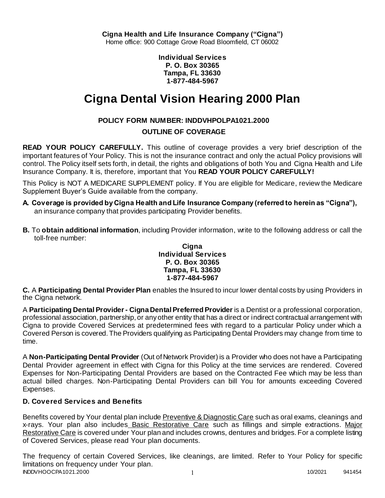**Individual Services P. O. Box 30365 Tampa, FL 33630 1-877-484-5967**

# **Cigna Dental Vision Hearing 2000 Plan**

# **POLICY FORM NUMBER: INDDVHPOLPA1021.2000**

## **OUTLINE OF COVERAGE**

**READ YOUR POLICY CAREFULLY.** This outline of coverage provides a very brief description of the important features of Your Policy. This is not the insurance contract and only the actual Policy provisions will control. The Policy itself sets forth, in detail, the rights and obligations of both You and Cigna Health and Life Insurance Company. It is, therefore, important that You **READ YOUR POLICY CAREFULLY!** 

This Policy is NOT A MEDICARE SUPPLEMENT policy. If You are eligible for Medicare, review the Medicare Supplement Buyer's Guide available from the company.

- **A. Coverage is provided by Cigna Health and Life Insurance Company (referred to herein as "Cigna"),**  an insurance company that provides participating Provider benefits.
- **B.** To **obtain additional information**, including Provider information, write to the following address or call the toll-free number:

#### **Cigna Individual Services P. O. Box 30365 Tampa, FL 33630 1-877-484-5967**

**C.** A **Participating Dental Provider Plan** enables the Insured to incur lower dental costs by using Providers in the Cigna network.

A **Participating Dental Provider - Cigna Dental Preferred Provider** is a Dentist or a professional corporation, professional association, partnership, or any other entity that has a direct or indirect contractual arrangement with Cigna to provide Covered Services at predetermined fees with regard to a particular Policy under which a Covered Person is covered. The Providers qualifying as Participating Dental Providers may change from time to time.

A **Non-Participating Dental Provider** (Out of Network Provider) is a Provider who does not have a Participating Dental Provider agreement in effect with Cigna for this Policy at the time services are rendered. Covered Expenses for Non-Participating Dental Providers are based on the Contracted Fee which may be less than actual billed charges. Non-Participating Dental Providers can bill You for amounts exceeding Covered Expenses.

## **D. Covered Services and Benefits**

Benefits covered by Your dental plan include Preventive & Diagnostic Care such as oral exams, cleanings and x-rays. Your plan also includes Basic Restorative Care such as fillings and simple extractions. Major Restorative Care is covered under Your plan and includes crowns, dentures and bridges. For a complete listing of Covered Services, please read Your plan documents.

INDDVHOOCPA1021.2000 1 1 1 200 10/2021 941454 The frequency of certain Covered Services, like cleanings, are limited. Refer to Your Policy for specific limitations on frequency under Your plan.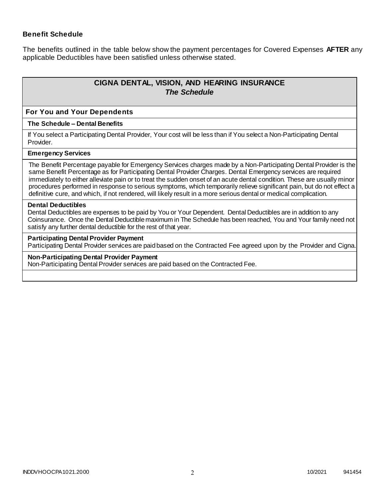### **Benefit Schedule**

The benefits outlined in the table below show the payment percentages for Covered Expenses **AFTER** any applicable Deductibles have been satisfied unless otherwise stated.

# **CIGNA DENTAL, VISION, AND HEARING INSURANCE** *The Schedule*

#### **For You and Your Dependents**

#### **The Schedule – Dental Benefits**

If You select a Participating Dental Provider, Your cost will be less than if You select a Non-Participating Dental Provider.

#### **Emergency Services**

The Benefit Percentage payable for Emergency Services charges made by a Non-Participating Dental Provider is the same Benefit Percentage as for Participating Dental Provider Charges. Dental Emergency services are required immediately to either alleviate pain or to treat the sudden onset of an acute dental condition. These are usually minor procedures performed in response to serious symptoms, which temporarily relieve significant pain, but do not effect a definitive cure, and which, if not rendered, will likely result in a more serious dental or medical complication.

#### **Dental Deductibles**

Dental Deductibles are expenses to be paid by You or Your Dependent. Dental Deductibles are in addition to any Coinsurance. Once the Dental Deductible maximum in The Schedule has been reached, You and Your family need not satisfy any further dental deductible for the rest of that year.

#### **Participating Dental Provider Payment**

Participating Dental Provider services are paid based on the Contracted Fee agreed upon by the Provider and Cigna.

#### **Non-Participating Dental Provider Payment**

Non-Participating Dental Provider services are paid based on the Contracted Fee.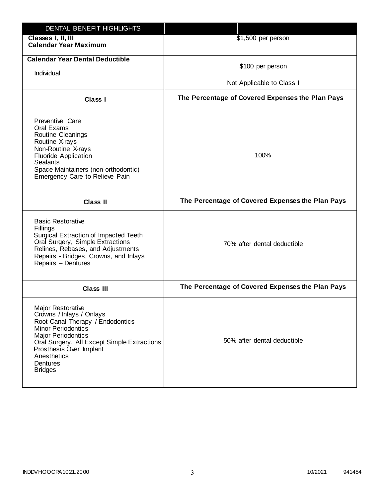| DENTAL BENEFIT HIGHLIGHTS                                                                                                                                                                                                                                                 |                                                  |
|---------------------------------------------------------------------------------------------------------------------------------------------------------------------------------------------------------------------------------------------------------------------------|--------------------------------------------------|
| Classes I, II, III<br><b>Calendar Year Maximum</b>                                                                                                                                                                                                                        | \$1,500 per person                               |
| <b>Calendar Year Dental Deductible</b><br>Individual                                                                                                                                                                                                                      | \$100 per person<br>Not Applicable to Class I    |
| Class I                                                                                                                                                                                                                                                                   | The Percentage of Covered Expenses the Plan Pays |
| Preventive Care<br>Oral Exams<br>Routine Cleanings<br>Routine X-rays<br>Non-Routine X-rays<br><b>Fluoride Application</b><br><b>Sealants</b><br>Space Maintainers (non-orthodontic)<br>Emergency Care to Relieve Pain                                                     | 100%                                             |
| <b>Class II</b>                                                                                                                                                                                                                                                           | The Percentage of Covered Expenses the Plan Pays |
| <b>Basic Restorative</b><br>Fillings<br>Surgical Extraction of Impacted Teeth<br>Oral Surgery, Simple Extractions<br>Relines, Rebases, and Adjustments<br>Repairs - Bridges, Crowns, and Inlays<br>Repairs - Dentures                                                     | 70% after dental deductible                      |
| <b>Class III</b>                                                                                                                                                                                                                                                          | The Percentage of Covered Expenses the Plan Pays |
| <b>Major Restorative</b><br>Crowns / Inlays / Onlays<br>Root Canal Therapy / Endodontics<br><b>Minor Periodontics</b><br><b>Major Periodontics</b><br>Oral Surgery, All Except Simple Extractions<br>Prosthesis Over Implant<br>Anesthetics<br>Dentures<br><b>Bridges</b> | 50% after dental deductible                      |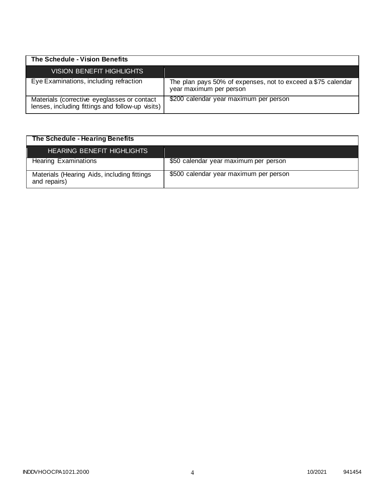| The Schedule - Vision Benefits                                                                  |                                                                                         |
|-------------------------------------------------------------------------------------------------|-----------------------------------------------------------------------------------------|
| <b>VISION BENEFIT HIGHLIGHTS</b>                                                                |                                                                                         |
| Eye Examinations, including refraction                                                          | The plan pays 50% of expenses, not to exceed a \$75 calendar<br>year maximum per person |
| Materials (corrective eyeglasses or contact<br>lenses, including fittings and follow-up visits) | \$200 calendar year maximum per person                                                  |

# **The Schedule - Hearing Benefits**

| <b>HEARING BENEFIT HIGHLIGHTS</b>                           |                                        |
|-------------------------------------------------------------|----------------------------------------|
| <b>Hearing Examinations</b>                                 | \$50 calendar year maximum per person  |
| Materials (Hearing Aids, including fittings<br>and repairs) | \$500 calendar year maximum per person |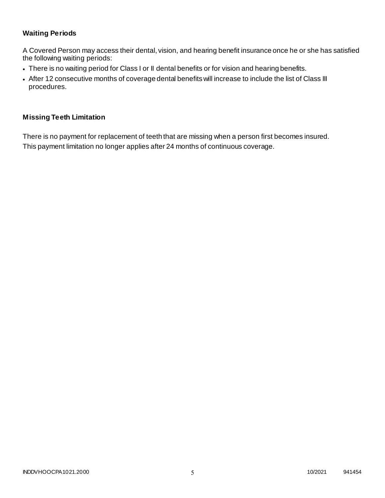## **Waiting Periods**

A Covered Person may access their dental, vision, and hearing benefit insurance once he or she has satisfied the following waiting periods:

- There is no waiting period for Class I or II dental benefits or for vision and hearing benefits.
- After 12 consecutive months of coverage dental benefits will increase to include the list of Class III procedures.

### **Missing Teeth Limitation**

There is no payment for replacement of teeth that are missing when a person first becomes insured. This payment limitation no longer applies after 24 months of continuous coverage.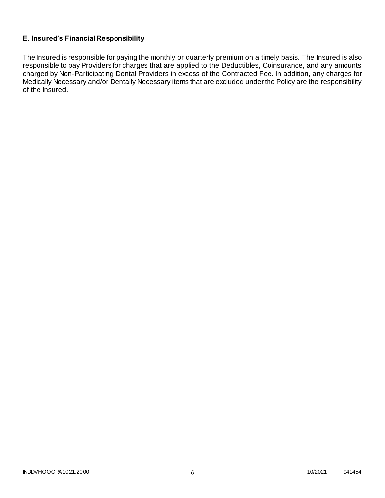## **E. Insured's Financial Responsibility**

The Insured is responsible for paying the monthly or quarterly premium on a timely basis. The Insured is also responsible to pay Providers for charges that are applied to the Deductibles, Coinsurance, and any amounts charged by Non-Participating Dental Providers in excess of the Contracted Fee. In addition, any charges for Medically Necessary and/or Dentally Necessary items that are excluded under the Policy are the responsibility of the Insured.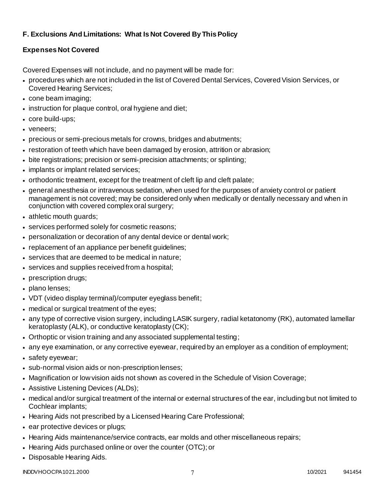# **F. Exclusions And Limitations: What Is Not Covered By This Policy**

# **Expenses Not Covered**

Covered Expenses will not include, and no payment will be made for:

- procedures which are not included in the list of Covered Dental Services, Covered Vision Services, or Covered Hearing Services;
- cone beam imaging;
- instruction for plaque control, oral hygiene and diet;
- core build-ups;
- veneers;
- precious or semi-precious metals for crowns, bridges and abutments;
- restoration of teeth which have been damaged by erosion, attrition or abrasion;
- bite registrations; precision or semi-precision attachments; or splinting;
- implants or implant related services;
- orthodontic treatment, except for the treatment of cleft lip and cleft palate;
- general anesthesia or intravenous sedation, when used for the purposes of anxiety control or patient management is not covered; may be considered only when medically or dentally necessary and when in conjunction with covered complex oral surgery;
- athletic mouth guards;
- services performed solely for cosmetic reasons;
- personalization or decoration of any dental device or dental work;
- replacement of an appliance per benefit guidelines;
- services that are deemed to be medical in nature;
- services and supplies received from a hospital;
- prescription drugs;
- plano lenses:
- VDT (video display terminal)/computer eyeglass benefit;
- medical or surgical treatment of the eyes;
- any type of corrective vision surgery, including LASIK surgery, radial ketatonomy (RK), automated lamellar keratoplasty (ALK), or conductive keratoplasty (CK);
- Orthoptic or vision training and any associated supplemental testing;
- any eye examination, or any corrective eyewear, required by an employer as a condition of employment;
- safety eyewear;
- sub-normal vision aids or non-prescription lenses;
- Magnification or low vision aids not shown as covered in the Schedule of Vision Coverage;
- Assistive Listening Devices (ALDs);
- medical and/or surgical treatment of the internal or external structures of the ear, including but not limited to Cochlear implants;
- Hearing Aids not prescribed by a Licensed Hearing Care Professional;
- ear protective devices or plugs;
- Hearing Aids maintenance/service contracts, ear molds and other miscellaneous repairs;
- Hearing Aids purchased online or over the counter (OTC); or
- Disposable Hearing Aids.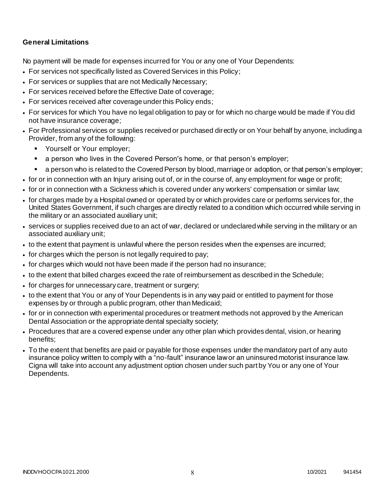### **General Limitations**

No payment will be made for expenses incurred for You or any one of Your Dependents:

- For services not specifically listed as Covered Services in this Policy;
- For services or supplies that are not Medically Necessary;
- For services received before the Effective Date of coverage;
- For services received after coverage under this Policy ends;
- For services for which You have no legal obligation to pay or for which no charge would be made if You did not have insurance coverage;
- For Professional services or supplies received or purchased directly or on Your behalf by anyone, including a Provider, from any of the following:
	- **Yourself or Your employer;**
	- a person who lives in the Covered Person's home, or that person's employer;
	- a person who is related to the Covered Person by blood, marriage or adoption, or that person's employer;
- for or in connection with an Injury arising out of, or in the course of, any employment for wage or profit;
- for or in connection with a Sickness which is covered under any workers' compensation or similar law;
- for charges made by a Hospital owned or operated by or which provides care or performs services for, the United States Government, if such charges are directly related to a condition which occurred while serving in the military or an associated auxiliary unit;
- services or supplies received due to an act of war, declared or undeclared while serving in the military or an associated auxiliary unit;
- to the extent that payment is unlawful where the person resides when the expenses are incurred;
- for charges which the person is not legally required to pay;
- for charges which would not have been made if the person had no insurance;
- to the extent that billed charges exceed the rate of reimbursement as described in the Schedule;
- for charges for unnecessary care, treatment or surgery;
- to the extent that You or any of Your Dependents is in any way paid or entitled to payment for those expenses by or through a public program, other than Medicaid;
- for or in connection with experimental procedures or treatment methods not approved by the American Dental Association or the appropriate dental specialty society;
- Procedures that are a covered expense under any other plan which provides dental, vision, or hearing benefits;
- To the extent that benefits are paid or payable for those expenses under the mandatory part of any auto insurance policy written to comply with a "no-fault" insurance law or an uninsured motorist insurance law. Cigna will take into account any adjustment option chosen under such part by You or any one of Your Dependents.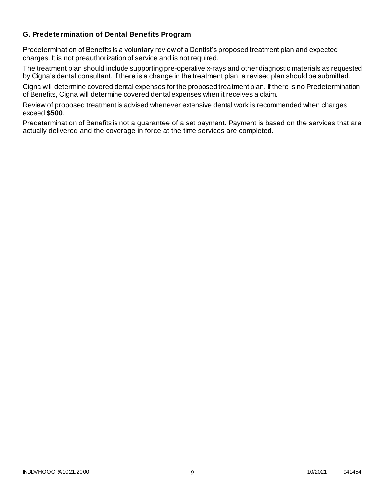### **G. Predetermination of Dental Benefits Program**

Predetermination of Benefits is a voluntary review of a Dentist's proposed treatment plan and expected charges. It is not preauthorization of service and is not required.

The treatment plan should include supporting pre-operative x-rays and other diagnostic materials as requested by Cigna's dental consultant. If there is a change in the treatment plan, a revised plan should be submitted.

Cigna will determine covered dental expenses for the proposed treatment plan. If there is no Predetermination of Benefits, Cigna will determine covered dental expenses when it receives a claim.

Review of proposed treatment is advised whenever extensive dental work is recommended when charges exceed **\$500**.

Predetermination of Benefits is not a guarantee of a set payment. Payment is based on the services that are actually delivered and the coverage in force at the time services are completed.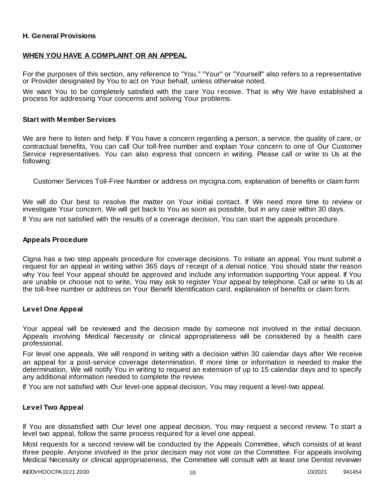### **H. General Provisions**

### **WHEN YOU HAVE A COMPLAINT OR AN APPEAL**

For the purposes of this section, any reference to "You," "Your" or "Yourself" also refers to a representative or Provider designated by You to act on Your behalf, unless otherwise noted.

We want You to be completely satisfied with the care You receive. That is why We have established a process for addressing Your concerns and solving Your problems.

#### **Start with Member Services**

We are here to listen and help. If You have a concern regarding a person, a service, the quality of care, or contractual benefits, You can call Our toll-free number and explain Your concern to one of Our Customer Service representatives. You can also express that concern in writing. Please call or write to Us at the following:

Customer Services Toll-Free Number or address on mycigna.com, explanation of benefits or claim form

We will do Our best to resolve the matter on Your initial contact. If We need more time to review or investigate Your concern, We will get back to You as soon as possible, but in any case within 30 days.

If You are not satisfied with the results of a coverage decision, You can start the appeals procedure.

#### **Appeals Procedure**

Cigna has a two step appeals procedure for coverage decisions. To initiate an appeal, You must submit a request for an appeal in writing within 365 days of receipt of a denial notice. You should state the reason why You feel Your appeal should be approved and include any information supporting Your appeal. If You are unable or choose not to write, You may ask to register Your appeal by telephone. Call or write to Us at the toll-free number or address on Your Benefit Identification card, explanation of benefits or claim form.

#### **Level One Appeal**

Your appeal will be reviewed and the decision made by someone not involved in the initial decision. Appeals involving Medical Necessity or clinical appropriateness will be considered by a health care professional.

For level one appeals, We will respond in writing with a decision within 30 calendar days after We receive an appeal for a post-service coverage determination. If more time or information is needed to make the determination, We will notify You in writing to request an extension of up to 15 calendar days and to specify any additional information needed to complete the review.

If You are not satisfied with Our level-one appeal decision, You may request a level-two appeal.

#### **Level Two Appeal**

If You are dissatisfied with Our level one appeal decision, You may request a second review. To start a level two appeal, follow the same process required for a level one appeal.

Most requests for a second review will be conducted by the Appeals Committee, which consists of at least three people. Anyone involved in the prior decision may not vote on the Committee. For appeals involving Medical Necessity or clinical appropriateness, the Committee will consult with at least one Dentist reviewer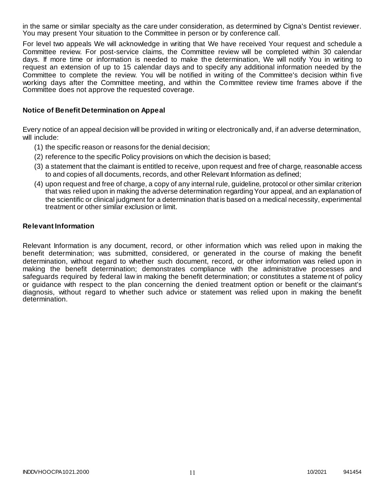in the same or similar specialty as the care under consideration, as determined by Cigna's Dentist reviewer. You may present Your situation to the Committee in person or by conference call.

For level two appeals We will acknowledge in writing that We have received Your request and schedule a Committee review. For post-service claims, the Committee review will be completed within 30 calendar days. If more time or information is needed to make the determination, We will notify You in writing to request an extension of up to 15 calendar days and to specify any additional information needed by the Committee to complete the review. You will be notified in writing of the Committee's decision within fi ve working days after the Committee meeting, and within the Committee review time frames above if the Committee does not approve the requested coverage.

#### **Notice of Benefit Determination on Appeal**

Every notice of an appeal decision will be provided in writing or electronically and, if an adverse determination, will include:

- (1) the specific reason or reasons for the denial decision;
- (2) reference to the specific Policy provisions on which the decision is based;
- (3) a statement that the claimant is entitled to receive, upon request and free of charge, reasonable access to and copies of all documents, records, and other Relevant Information as defined;
- (4) upon request and free of charge, a copy of any internal rule, guideline, protocol or other similar criterion that was relied upon in making the adverse determination regarding Your appeal, and an explanation of the scientific or clinical judgment for a determination that is based on a medical necessity, experimental treatment or other similar exclusion or limit.

#### **Relevant Information**

Relevant Information is any document, record, or other information which was relied upon in making the benefit determination; was submitted, considered, or generated in the course of making the benefit determination, without regard to whether such document, record, or other information was relied upon in making the benefit determination; demonstrates compliance with the administrative processes and safeguards required by federal law in making the benefit determination; or constitutes a stateme nt of policy or guidance with respect to the plan concerning the denied treatment option or benefit or the claimant's diagnosis, without regard to whether such advice or statement was relied upon in making the benefit determination.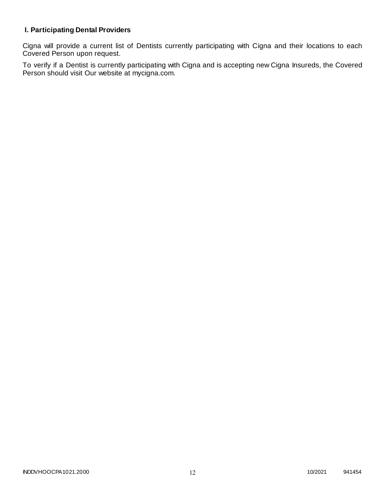# **I. Participating Dental Providers**

Cigna will provide a current list of Dentists currently participating with Cigna and their locations to each Covered Person upon request.

To verify if a Dentist is currently participating with Cigna and is accepting new Cigna Insureds, the Covered Person should visit Our website at mycigna.com.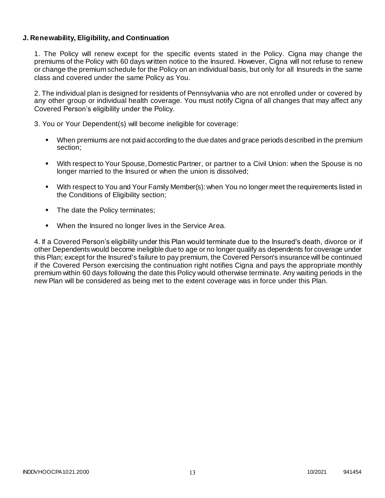### **J. Renewability, Eligibility, and Continuation**

1. The Policy will renew except for the specific events stated in the Policy. Cigna may change the premiums of the Policy with 60 days written notice to the Insured. However, Cigna will not refuse to renew or change the premium schedule for the Policy on an individual basis, but only for all Insureds in the same class and covered under the same Policy as You.

2. The individual plan is designed for residents of Pennsylvania who are not enrolled under or covered by any other group or individual health coverage. You must notify Cigna of all changes that may affect any Covered Person's eligibility under the Policy.

3. You or Your Dependent(s) will become ineligible for coverage:

- When premiums are not paid according to the due dates and grace periods described in the premium section;
- With respect to Your Spouse, Domestic Partner, or partner to a Civil Union: when the Spouse is no longer married to the Insured or when the union is dissolved;
- With respect to You and Your Family Member(s): when You no longer meet the requirements listed in the Conditions of Eligibility section;
- The date the Policy terminates;
- When the Insured no longer lives in the Service Area.

4. If a Covered Person's eligibility under this Plan would terminate due to the Insured's death, divorce or if other Dependents would become ineligible due to age or no longer qualify as dependents for coverage under this Plan; except for the Insured's failure to pay premium, the Covered Person's insurance will be continued if the Covered Person exercising the continuation right notifies Cigna and pays the appropriate monthly premium within 60 days following the date this Policy would otherwise terminate. Any waiting periods in the new Plan will be considered as being met to the extent coverage was in force under this Plan.